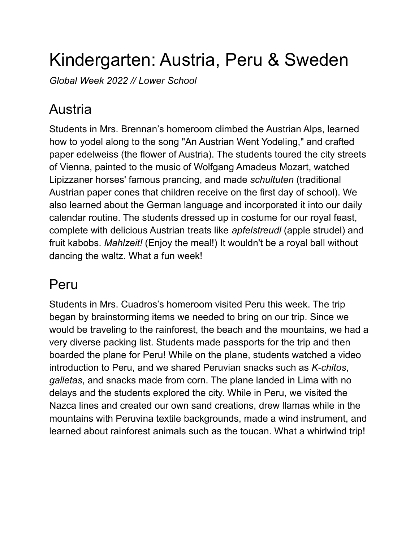## Kindergarten: Austria, Peru & Sweden

*Global Week 2022 // Lower School*

## Austria

Students in Mrs. Brennan's homeroom climbed the Austrian Alps, learned how to yodel along to the song "An Austrian Went Yodeling," and crafted paper edelweiss (the flower of Austria). The students toured the city streets of Vienna, painted to the music of Wolfgang Amadeus Mozart, watched Lipizzaner horses' famous prancing, and made *schultuten* (traditional Austrian paper cones that children receive on the first day of school). We also learned about the German language and incorporated it into our daily calendar routine. The students dressed up in costume for our royal feast, complete with delicious Austrian treats like *apfelstreudl* (apple strudel) and fruit kabobs. *Mahlzeit!* (Enjoy the meal!) It wouldn't be a royal ball without dancing the waltz. What a fun week!

## Peru

Students in Mrs. Cuadros's homeroom visited Peru this week. The trip began by brainstorming items we needed to bring on our trip. Since we would be traveling to the rainforest, the beach and the mountains, we had a very diverse packing list. Students made passports for the trip and then boarded the plane for Peru! While on the plane, students watched a video introduction to Peru, and we shared Peruvian snacks such as *K-chitos*, *galletas*, and snacks made from corn. The plane landed in Lima with no delays and the students explored the city. While in Peru, we visited the Nazca lines and created our own sand creations, drew llamas while in the mountains with Peruvina textile backgrounds, made a wind instrument, and learned about rainforest animals such as the toucan. What a whirlwind trip!